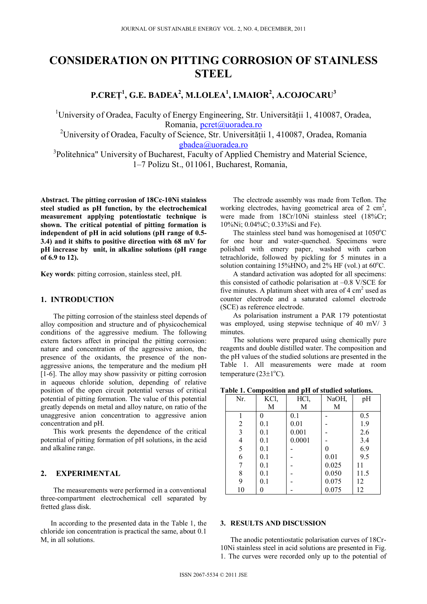# **CONSIDERATION ON PITTING CORROSION OF STAINLESS STEEL**

**P.CREŢ1 , G.E. BADEA2 , M.LOLEA1 , I.MAIOR<sup>2</sup> , A.COJOCARU3**

<sup>1</sup>University of Oradea, Faculty of Energy Engineering, Str. Universității 1, 410087, Oradea, Romania, pcret@uoradea.ro

<sup>2</sup>University of Oradea, Faculty of Science, Str. Universității 1, 410087, Oradea, Romania gbadea@uoradea.ro

<sup>3</sup>Politehnica" University of Bucharest, Faculty of Applied Chemistry and Material Science, 1–7 Polizu St., 011061, Bucharest, Romania,

**Abstract. The pitting corrosion of 18Cc-10Ni stainless steel studied as pH function, by the electrochemical measurement applying potentiostatic technique is shown. The critical potential of pitting formation is independent of pH in acid solutions (pH range of 0.5- 3.4) and it shifts to positive direction with 68 mV for pH increase by unit, in alkaline solutions (pH range of 6.9 to 12).** 

**Key words**: pitting corrosion, stainless steel, pH.

#### **1. INTRODUCTION**

The pitting corrosion of the stainless steel depends of alloy composition and structure and of physicochemical conditions of the aggressive medium. The following extern factors affect in principal the pitting corrosion: nature and concentration of the aggressive anion, the presence of the oxidants, the presence of the nonaggressive anions, the temperature and the medium pH [1-6]. The alloy may show passivity or pitting corrosion in aqueous chloride solution, depending of relative position of the open circuit potential versus of critical potential of pitting formation. The value of this potential greatly depends on metal and alloy nature, on ratio of the unaggresive anion concentration to aggressive anion concentration and pH.

This work presents the dependence of the critical potential of pitting formation of pH solutions, in the acid and alkaline range.

## **2. EXPERIMENTAL**

The measurements were performed in a conventional three-compartment electrochemical cell separated by fretted glass disk.

In according to the presented data in the Table 1, the chloride ion concentration is practical the same, about 0.1 M, in all solutions.

The electrode assembly was made from Teflon. The working electrodes, having geometrical area of  $2 \text{ cm}^2$ , were made from 18Cr/10Ni stainless steel (18%Cr; 10%Ni; 0.04%C; 0.33%Si and Fe).

The stainless steel band was homogenised at 1050°C for one hour and water-quenched. Specimens were polished with emery paper, washed with carbon tetrachloride, followed by pickling for 5 minutes in a solution containing  $15\%$ HNO<sub>3</sub> and  $2\%$  HF (vol.) at 60<sup>°</sup>C.

A standard activation was adopted for all specimens: this consisted of cathodic polarisation at –0.8 V/SCE for five minutes. A platinum sheet with area of  $4 \text{ cm}^2$  used as counter electrode and a saturated calomel electrode (SCE) as reference electrode.

As polarisation instrument a PAR 179 potentiostat was employed, using stepwise technique of 40 mV/ 3 minutes.

The solutions were prepared using chemically pure reagents and double distilled water. The composition and the pH values of the studied solutions are presented in the Table 1. All measurements were made at room temperature  $(23 \pm 1^{\circ}C)$ .

| Table 1. Composition and pH of studied solutions. |      |      |       |    |  |  |  |
|---------------------------------------------------|------|------|-------|----|--|--|--|
| Nr.                                               | KCl. | HCl. | NaOH. | pH |  |  |  |
|                                                   |      |      |       |    |  |  |  |

| 141. | IXVI, | 1101,  | $1$ va $\cup$ 11, | hTT  |
|------|-------|--------|-------------------|------|
|      | M     | М      | М                 |      |
|      |       | 0.1    |                   | 0.5  |
| 2    | 0.1   | 0.01   |                   | 1.9  |
| 3    | 0.1   | 0.001  |                   | 2.6  |
| 4    | 0.1   | 0.0001 |                   | 3.4  |
| 5    | 0.1   |        | 0                 | 6.9  |
| 6    | 0.1   |        | 0.01              | 9.5  |
|      | 0.1   |        | 0.025             | 11   |
| 8    | 0.1   |        | 0.050             | 11.5 |
| 9    | 0.1   |        | 0.075             | 12   |
| 10   |       |        | 0.075             | 12   |

# **3. RESULTS AND DISCUSSION**

The anodic potentiostatic polarisation curves of 18Cr-10Ni stainless steel in acid solutions are presented in Fig. 1. The curves were recorded only up to the potential of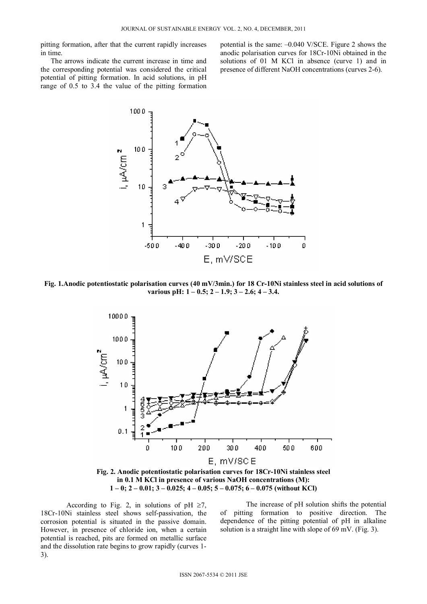pitting formation, after that the current rapidly increases in time.

The arrows indicate the current increase in time and the corresponding potential was considered the critical potential of pitting formation. In acid solutions, in pH range of 0.5 to 3.4 the value of the pitting formation

potential is the same: –0.040 V/SCE. Figure 2 shows the anodic polarisation curves for 18Cr-10Ni obtained in the solutions of 01 M KCl in absence (curve 1) and in presence of different NaOH concentrations (curves 2-6).



**Fig. 1.Anodic potentiostatic polarisation curves (40 mV/3min.) for 18 Cr-10Ni stainless steel in acid solutions of various pH: 1 – 0.5; 2 – 1.9; 3 – 2.6; 4 – 3.4.** 



According to Fig. 2, in solutions of pH  $\geq 7$ , 18Cr-10Ni stainless steel shows self-passivation, the corrosion potential is situated in the passive domain. However, in presence of chloride ion, when a certain potential is reached, pits are formed on metallic surface and the dissolution rate begins to grow rapidly (curves 1- 3).

The increase of pH solution shifts the potential of pitting formation to positive direction. The dependence of the pitting potential of pH in alkaline solution is a straight line with slope of 69 mV. (Fig. 3).